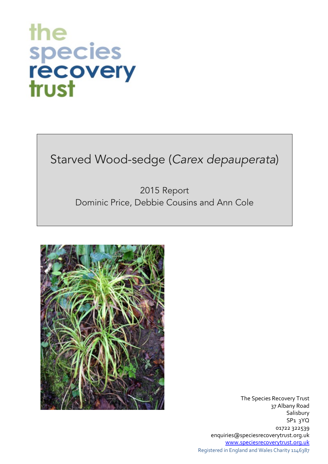# the species<br>recovery<br>trust

## Starved Wood-sedge (*Carex depauperata*)

#### 2015 Report Dominic Price, Debbie Cousins and Ann Cole



The Species Recovery Trust 37 Albany Road **Salisbury** SP1 3YQ 01722 322539 enquiries@speciesrecoverytrust.org.uk www.speciesrecoverytrust.org.uk Registered in England and Wales Charity 1146387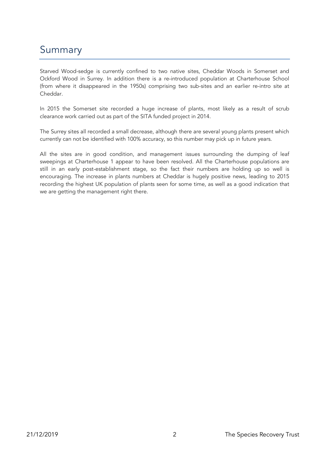### Summary

Starved Wood-sedge is currently confined to two native sites, Cheddar Woods in Somerset and Ockford Wood in Surrey. In addition there is a re-introduced population at Charterhouse School (from where it disappeared in the 1950s) comprising two sub-sites and an earlier re-intro site at Cheddar.

In 2015 the Somerset site recorded a huge increase of plants, most likely as a result of scrub clearance work carried out as part of the SITA funded project in 2014.

The Surrey sites all recorded a small decrease, although there are several young plants present which currently can not be identified with 100% accuracy, so this number may pick up in future years.

All the sites are in good condition, and management issues surrounding the dumping of leaf sweepings at Charterhouse 1 appear to have been resolved. All the Charterhouse populations are still in an early post-establishment stage, so the fact their numbers are holding up so well is encouraging. The increase in plants numbers at Cheddar is hugely positive news, leading to 2015 recording the highest UK population of plants seen for some time, as well as a good indication that we are getting the management right there.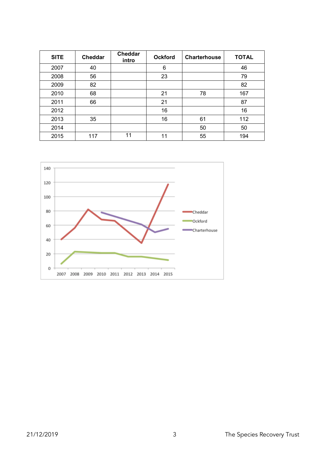| <b>SITE</b> | Cheddar | Cheddar<br>intro | <b>Ockford</b> | <b>Charterhouse</b> | <b>TOTAL</b> |
|-------------|---------|------------------|----------------|---------------------|--------------|
| 2007        | 40      |                  | 6              |                     | 46           |
| 2008        | 56      |                  | 23             |                     | 79           |
| 2009        | 82      |                  |                |                     | 82           |
| 2010        | 68      |                  | 21             | 78                  | 167          |
| 2011        | 66      |                  | 21             |                     | 87           |
| 2012        |         |                  | 16             |                     | 16           |
| 2013        | 35      |                  | 16             | 61                  | 112          |
| 2014        |         |                  |                | 50                  | 50           |
| 2015        | 117     | 11               | 11             | 55                  | 194          |

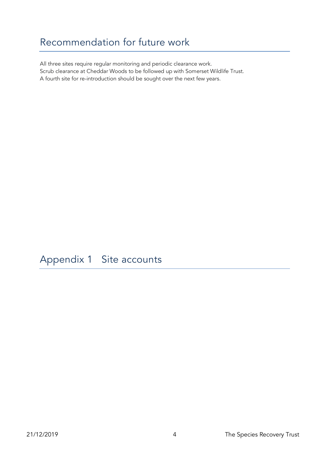#### Recommendation for future work

All three sites require regular monitoring and periodic clearance work. Scrub clearance at Cheddar Woods to be followed up with Somerset Wildlife Trust. A fourth site for re-introduction should be sought over the next few years.

#### Appendix 1 Site accounts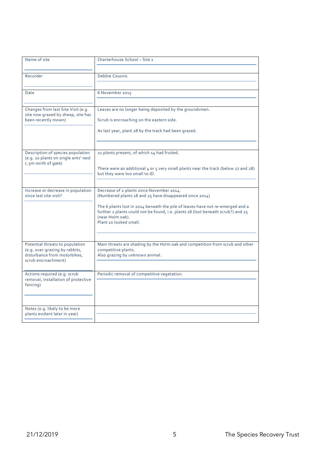| Name of site                                                                                                             | Charterhouse School - Site 1                                                                                                                                                                                     |
|--------------------------------------------------------------------------------------------------------------------------|------------------------------------------------------------------------------------------------------------------------------------------------------------------------------------------------------------------|
| Recorder                                                                                                                 | Debbie Cousins                                                                                                                                                                                                   |
|                                                                                                                          |                                                                                                                                                                                                                  |
| Date                                                                                                                     | 6 November 2015                                                                                                                                                                                                  |
| Changes from last Site Visit (e.g.<br>site now grazed by sheep, site has<br>been recently mown)                          | Leaves are no longer being deposited by the groundsmen.<br>Scrub is encroaching on the eastern side.                                                                                                             |
|                                                                                                                          | As last year, plant 28 by the track had been grazed.                                                                                                                                                             |
| Description of species population<br>(e.g. 10 plants on single ants' nest<br>c.5m north of gate)                         | 21 plants present, of which 14 had fruited.                                                                                                                                                                      |
|                                                                                                                          | There were an additional 4 or 5 very small plants near the track (below 27 and 28)<br>but they were too small to ID.                                                                                             |
| Increase or decrease in population<br>since last site visit?                                                             | Decrease of 2 plants since November 2014.<br>(Numbered plants 18 and 25 have disappeared since 2014)                                                                                                             |
|                                                                                                                          | The 6 plants lost in 2014 beneath the pile of leaves have not re-emerged and a<br>further 2 plants could not be found, i.e. plants 18 (lost beneath scrub?) and 25<br>(near Holm oak).<br>Plant 10 looked small. |
|                                                                                                                          |                                                                                                                                                                                                                  |
| Potential threats to population<br>(e.g. over-grazing by rabbits,<br>disturbance from motorbikes,<br>scrub encroachment) | Main threats are shading by the Holm oak and competition from scrub and other<br>competitive plants.<br>Also grazing by unknown animal.                                                                          |
| Actions required (e.g. scrub<br>removal, installation of protective<br>fencing)                                          | Periodic removal of competitive vegetation.                                                                                                                                                                      |
| Notes (e.g. likely to be more<br>plants evident later in year)                                                           |                                                                                                                                                                                                                  |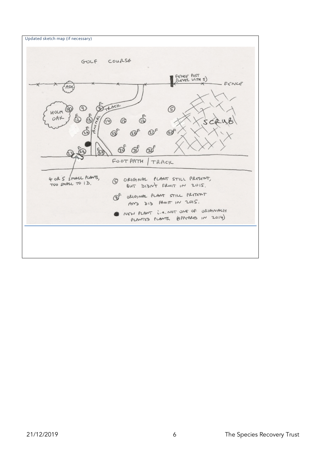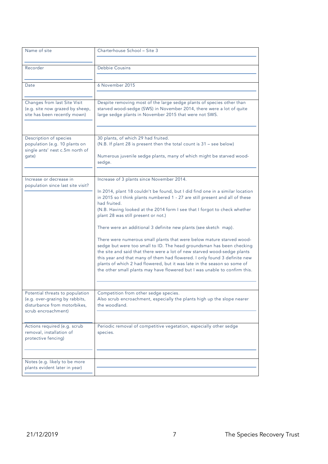| Name of site                                                                                                             | Charterhouse School - Site 3                                                                                                                                                                                                                                                                                                                                                                                                                                                                                                                                                                                                                                                                                                                                                                                                                                                            |
|--------------------------------------------------------------------------------------------------------------------------|-----------------------------------------------------------------------------------------------------------------------------------------------------------------------------------------------------------------------------------------------------------------------------------------------------------------------------------------------------------------------------------------------------------------------------------------------------------------------------------------------------------------------------------------------------------------------------------------------------------------------------------------------------------------------------------------------------------------------------------------------------------------------------------------------------------------------------------------------------------------------------------------|
| Recorder                                                                                                                 | Debbie Cousins                                                                                                                                                                                                                                                                                                                                                                                                                                                                                                                                                                                                                                                                                                                                                                                                                                                                          |
| Date                                                                                                                     | 6 November 2015                                                                                                                                                                                                                                                                                                                                                                                                                                                                                                                                                                                                                                                                                                                                                                                                                                                                         |
| Changes from last Site Visit<br>(e.g. site now grazed by sheep,<br>site has been recently mown)                          | Despite removing most of the large sedge plants of species other than<br>starved wood-sedge (SWS) in November 2014, there were a lot of quite<br>large sedge plants in November 2015 that were not SWS.                                                                                                                                                                                                                                                                                                                                                                                                                                                                                                                                                                                                                                                                                 |
| Description of species<br>population (e.g. 10 plants on<br>single ants' nest c.5m north of<br>gate)                      | 30 plants, of which 29 had fruited.<br>(N.B. If plant 28 is present then the total count is 31 - see below)<br>Numerous juvenile sedge plants, many of which might be starved wood-<br>sedge.                                                                                                                                                                                                                                                                                                                                                                                                                                                                                                                                                                                                                                                                                           |
| Increase or decrease in<br>population since last site visit?                                                             | Increase of 3 plants since November 2014.<br>In 2014, plant 18 couldn't be found, but I did find one in a similar location<br>in 2015 so I think plants numbered 1 - 27 are still present and all of these<br>had fruited.<br>(N.B. Having looked at the 2014 form I see that I forgot to check whether<br>plant 28 was still present or not.)<br>There were an additional 3 definite new plants (see sketch map).<br>There were numerous small plants that were below mature starved wood-<br>sedge but were too small to ID. The head groundsman has been checking<br>the site and said that there were a lot of new starved wood-sedge plants<br>this year and that many of them had flowered. I only found 3 definite new<br>plants of which 2 had flowered, but it was late in the season so some of<br>the other small plants may have flowered but I was unable to confirm this. |
| Potential threats to population<br>(e.g. over-grazing by rabbits,<br>disturbance from motorbikes,<br>scrub encroachment) | Competition from other sedge species.<br>Also scrub encroachment, especially the plants high up the slope nearer<br>the woodland.                                                                                                                                                                                                                                                                                                                                                                                                                                                                                                                                                                                                                                                                                                                                                       |
| Actions required (e.g. scrub<br>removal, installation of<br>protective fencing)                                          | Periodic removal of competitive vegetation, especially other sedge<br>species.                                                                                                                                                                                                                                                                                                                                                                                                                                                                                                                                                                                                                                                                                                                                                                                                          |
| Notes (e.g. likely to be more<br>plants evident later in year)                                                           |                                                                                                                                                                                                                                                                                                                                                                                                                                                                                                                                                                                                                                                                                                                                                                                                                                                                                         |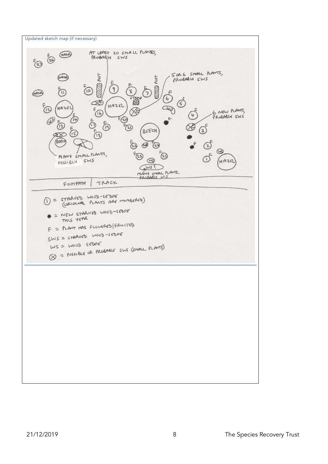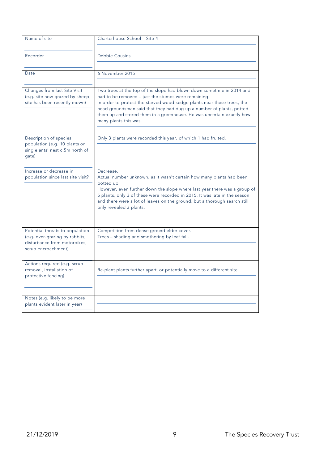| Name of site                                                      | Charterhouse School - Site 4                                                                                                   |
|-------------------------------------------------------------------|--------------------------------------------------------------------------------------------------------------------------------|
|                                                                   |                                                                                                                                |
| Recorder                                                          | Debbie Cousins                                                                                                                 |
|                                                                   |                                                                                                                                |
| Date                                                              | 6 November 2015                                                                                                                |
|                                                                   |                                                                                                                                |
| Changes from last Site Visit                                      | Two trees at the top of the slope had blown down sometime in 2014 and                                                          |
| (e.g. site now grazed by sheep,<br>site has been recently mown)   | had to be removed - just the stumps were remaining.<br>In order to protect the starved wood-sedge plants near these trees, the |
|                                                                   | head groundsman said that they had dug up a number of plants, potted                                                           |
|                                                                   | them up and stored them in a greenhouse. He was uncertain exactly how                                                          |
|                                                                   | many plants this was.                                                                                                          |
|                                                                   |                                                                                                                                |
| Description of species                                            | Only 3 plants were recorded this year, of which 1 had fruited.                                                                 |
| population (e.g. 10 plants on<br>single ants' nest c.5m north of  |                                                                                                                                |
| qate)                                                             |                                                                                                                                |
|                                                                   |                                                                                                                                |
| Increase or decrease in                                           | Decrease.                                                                                                                      |
| population since last site visit?                                 | Actual number unknown, as it wasn't certain how many plants had been                                                           |
|                                                                   | potted up.<br>However, even further down the slope where last year there was a group of                                        |
|                                                                   | 5 plants, only 3 of these were recorded in 2015. It was late in the season                                                     |
|                                                                   | and there were a lot of leaves on the ground, but a thorough search still                                                      |
|                                                                   | only revealed 3 plants.                                                                                                        |
|                                                                   |                                                                                                                                |
|                                                                   |                                                                                                                                |
| Potential threats to population<br>(e.g. over-grazing by rabbits, | Competition from dense ground elder cover.<br>Trees - shading and smothering by leaf fall.                                     |
| disturbance from motorbikes.                                      |                                                                                                                                |
| scrub encroachment)                                               |                                                                                                                                |
|                                                                   |                                                                                                                                |
| Actions required (e.g. scrub                                      |                                                                                                                                |
| removal, installation of<br>protective fencing)                   | Re-plant plants further apart, or potentially move to a different site.                                                        |
|                                                                   |                                                                                                                                |
|                                                                   |                                                                                                                                |
| Notes (e.g. likely to be more                                     |                                                                                                                                |
| plants evident later in year)                                     |                                                                                                                                |
|                                                                   |                                                                                                                                |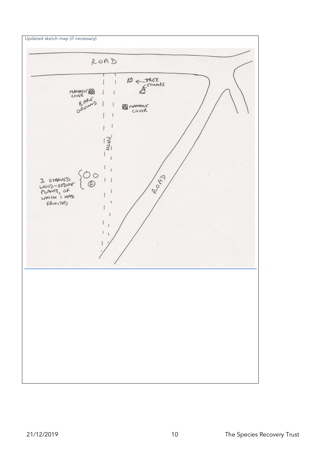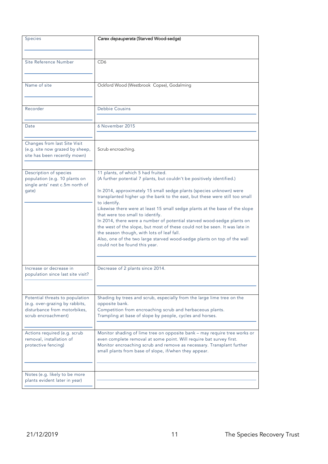| Species                                                           | Carex depauperata (Starved Wood-sedge)                                                                                                             |
|-------------------------------------------------------------------|----------------------------------------------------------------------------------------------------------------------------------------------------|
|                                                                   |                                                                                                                                                    |
| Site Reference Number                                             | CD <sub>6</sub>                                                                                                                                    |
|                                                                   |                                                                                                                                                    |
|                                                                   |                                                                                                                                                    |
| Name of site                                                      | Ockford Wood (Westbrook Copse), Godalming                                                                                                          |
|                                                                   |                                                                                                                                                    |
| Recorder                                                          | Debbie Cousins                                                                                                                                     |
|                                                                   |                                                                                                                                                    |
| Date                                                              | 6 November 2015                                                                                                                                    |
|                                                                   |                                                                                                                                                    |
| Changes from last Site Visit                                      |                                                                                                                                                    |
| (e.g. site now grazed by sheep,                                   | Scrub encroaching.                                                                                                                                 |
| site has been recently mown)                                      |                                                                                                                                                    |
|                                                                   |                                                                                                                                                    |
| Description of species<br>population (e.g. 10 plants on           | 11 plants, of which 5 had fruited.<br>(A further potential 7 plants, but couldn't be positively identified.)                                       |
| single ants' nest c.5m north of                                   |                                                                                                                                                    |
| gate)                                                             | In 2014, approximately 15 small sedge plants (species unknown) were<br>transplanted higher up the bank to the east, but these were still too small |
|                                                                   | to identify.                                                                                                                                       |
|                                                                   | Likewise there were at least 15 small sedge plants at the base of the slope<br>that were too small to identify.                                    |
|                                                                   | In 2014, there were a number of potential starved wood-sedge plants on                                                                             |
|                                                                   | the west of the slope, but most of these could not be seen. It was late in                                                                         |
|                                                                   | the season though, with lots of leaf fall.<br>Also, one of the two large starved wood-sedge plants on top of the wall                              |
|                                                                   | could not be found this year.                                                                                                                      |
|                                                                   |                                                                                                                                                    |
| Increase or decrease in                                           | Decrease of 2 plants since 2014.                                                                                                                   |
| population since last site visit?                                 |                                                                                                                                                    |
|                                                                   |                                                                                                                                                    |
|                                                                   |                                                                                                                                                    |
| Potential threats to population<br>(e.g. over-grazing by rabbits, | Shading by trees and scrub, especially from the large lime tree on the<br>opposite bank.                                                           |
| disturbance from motorbikes,                                      | Competition from encroaching scrub and herbaceous plants.                                                                                          |
| scrub encroachment)                                               | Trampling at base of slope by people, cycles and horses.                                                                                           |
|                                                                   |                                                                                                                                                    |
| Actions required (e.g. scrub<br>removal, installation of          | Monitor shading of lime tree on opposite bank - may require tree works or<br>even complete removal at some point. Will require bat survey first.   |
| protective fencing)                                               | Monitor encroaching scrub and remove as necessary. Transplant further                                                                              |
|                                                                   | small plants from base of slope, if/when they appear.                                                                                              |
|                                                                   |                                                                                                                                                    |
| Notes (e.g. likely to be more                                     |                                                                                                                                                    |
| plants evident later in year)                                     |                                                                                                                                                    |
|                                                                   |                                                                                                                                                    |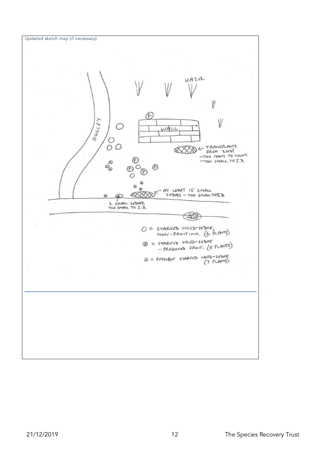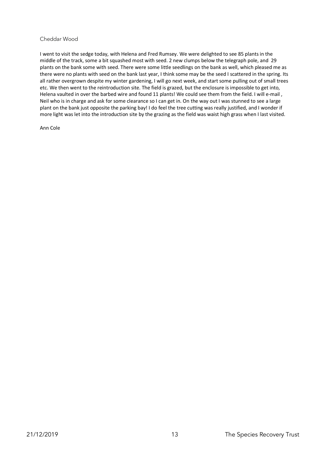#### Cheddar Wood

I went to visit the sedge today, with Helena and Fred Rumsey. We were delighted to see 85 plants in the middle of the track, some a bit squashed most with seed. 2 new clumps below the telegraph pole, and 29 plants on the bank some with seed. There were some little seedlings on the bank as well, which pleased me as there were no plants with seed on the bank last year, I think some may be the seed I scattered in the spring. Its all rather overgrown despite my winter gardening, I will go next week, and start some pulling out of small trees etc. We then went to the reintroduction site. The field is grazed, but the enclosure is impossible to get into, Helena vaulted in over the barbed wire and found 11 plants! We could see them from the field. I will e-mail , Neil who is in charge and ask for some clearance so I can get in. On the way out I was stunned to see a large plant on the bank just opposite the parking bay! I do feel the tree cutting was really justified, and I wonder if more light was let into the introduction site by the grazing as the field was waist high grass when I last visited.

Ann Cole